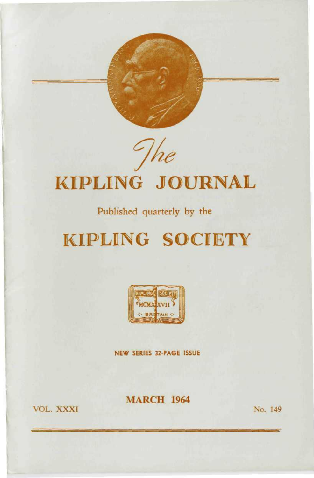

The

# **KIPLING JOURNAL**

### Published quarterly by the

## **KIPLING SOCIETY**



NEW SERIES 32-PAGE ISSUE

**MARCH 1964** 

**VOL. XXXI** 

No. 149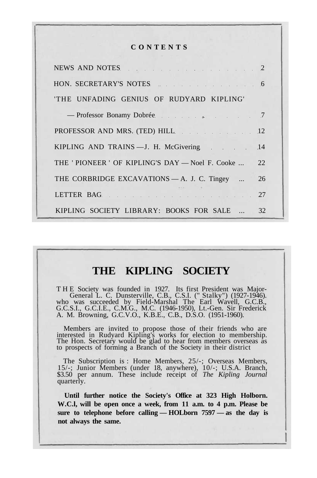#### **C O N T E N T S**

| NEWS AND NOTES 2                                                                                                |     |
|-----------------------------------------------------------------------------------------------------------------|-----|
| HON. SECRETARY'S NOTES 6                                                                                        |     |
| 'THE UNFADING GENIUS OF RUDYARD KIPLING'                                                                        |     |
| - Professor Bonamy Dobrée (1999) 7                                                                              |     |
| PROFESSOR AND MRS. (TED) HILL 12                                                                                |     |
| KIPLING AND TRAINS - J. H. McGivering                                                                           | .14 |
| THE 'PIONEER' OF KIPLING'S DAY — Noel F. Cooke                                                                  | 22. |
| THE CORBRIDGE EXCAVATIONS - A. J. C. Tingey                                                                     | 26  |
| LETTER BAG ARE ARE A STATE OF THE STATE OF THE STATE OF THE STATE OF THE STATE OF THE STATE OF THE STATE OF THE | -27 |
| KIPLING SOCIETY LIBRARY: BOOKS FOR SALE                                                                         | 32  |

### **THE KIPLING SOCIETY**

T H E Society was founded in 1927. Its first President was Major-General L. C. Dunsterville, C.B., C.S.I. (" Stalky") (1927-1946). who was succeeded by Field-Marshal The Earl Wavell, G.C.B., G.C.S.I., G.C.I.E., C.M.G., M.C. (1946-1950), Lt.-Gen. Sir Frederick A. M. Browning, G.C.V.O., K.B.E., C.B., D.S.O. (1951-1960).

Members are invited to propose those of their friends who are interested in Rudyard Kipling's works for election to membership. The Hon. Secretary would be glad to hear from members overseas as to prospects of forming a Branch of the Society in their district

The Subscription is : Home Members, 25/-; Overseas Members, 15/-; Junior Members (under 18, anywhere), 10/-; U.S.A. Branch, \$3.50 per annum. These include receipt of *The Kipling Journal* quarterly.

**Until further notice the Society's Office at 323 High Holborn. W.C.l, will be open once a week, from 11 a.m. to 4 p.m. Please be sure to telephone before calling — HOLborn 7597 — as the day is not always the same.**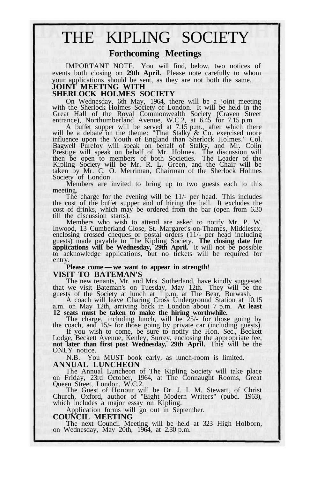## THE KIPLING SOCIETY

#### **Forthcoming Meetings**

IMPORTANT NOTE. You will find, below, two notices of events both closing on **29th April.** Please note carefully to whom your applications should be sent, as they are not both the same. **JOINT MEETING WITH**

#### **SHERLOCK HOLMES SOCIETY**

On Wednesday, 6th May, 1964, there will be a joint meeting with the Sherlock Holmes Society of London. It will be held in the Great Hall of the Royal Commonwealth Society (Craven Street entrance), Northumberland Avenue, W.C.2, at 6.45 for 7.15 p.m

A buffet supper will be served at 7.15 p.m., after which there<br>will be a debate on the theme: "That Stalky & Co. exercised more<br>influence upon the Youth of England than Sherlock Holmes." Col.<br>Bagwell Purefoy will speak on Kipling Society will be Mr. R. L. Green, and the Chair will be taken by Mr. C. O. Merriman, Chairman of the Sherlock Holmes Society of London.

Members are invited to bring up to two guests each to this meeting.

The charge for the evening will be 11/- per head. This includes the cost of the buffet supper and of hiring the hall. It excludes the cost of drinks, which may be ordered from the bar (open from 6.30 till the discussion starts).

Members who wish to attend are asked to notify Mr. P. W. Inwood, 13 Cumberland Close, St. Margaret's-on-Thames, Middlesex, enclosing crossed cheques or postal orders (11/- per head including<br>guests) made payable to The Kipling Society. **The closing date for<br>applications will be Wednesday, 29th April.** It will not be possible<br>to acknowledge app entry.

#### **Please come — we want to appear in strength**! **VISIT TO BATEMAN'S**

The new tenants, Mr. and Mrs. Sutherland, have kindly suggested that we visit Bateman's on Tuesday, May 12th. They will be the guests of the Society at lunch at 1 p.m. at The Bear, Burwash.

A coach will leave Charing Cross Underground Station at 10.15 a.m. on May 12th, arriving back in London about 7 p.m. **At least 12 seats must be taken to make the hiring worthwhile.**

The charge, including lunch, will be 25/- for those going by the coach, and 15/- for those going by private car (including guests). If you wish to come, be sure to notify the Hon. Sec., Beckett

Lodge, Beckett Avenue, Kenley, Surrey, enclosing the appropriate fee, **not later than first post Wednesday, 29th April.** This will be the ONLY notice.

N.B. You MUST book early, as lunch-room is limited. **ANNUAL LUNCHEON**

The Annual Luncheon of The Kipling Society will take place on Friday, 23rd October, 1964, at The Connaught Rooms, Great Queen Street, London, W.C.2.

The Guest of Honour will be Dr. J. I. M. Stewart, of Christ Church, Oxford, author of "Eight Modern Writers" (pubd. 1963), which includes a major essay on Kipling.

Application forms will go out in September.

#### **COUNCIL MEETING**

The next Council Meeting will be held at 323 High Holborn, on Wednesday, May 20th, 1964, at 2.30 p.m.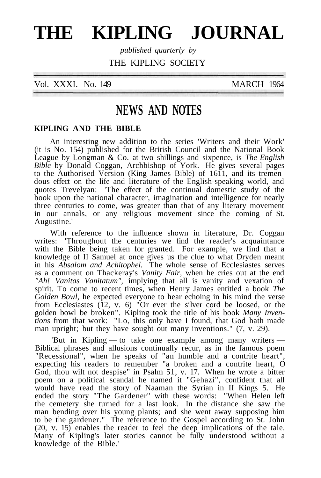## **THE KIPLING JOURNAL**

*published quarterly by* THE KIPLING SOCIETY

Vol. XXXI. No. 149 MARCH 1964

### **NEWS AND NOTES**

#### **KIPLING AND THE BIBLE**

An interesting new addition to the series 'Writers and their Work' (it is No. 154) published for the British Council and the National Book League by Longman & Co. at two shillings and sixpence, is *The English Bible* by Donald Coggan, Archbishop of York. He gives several pages to the Authorised Version (King James Bible) of 1611, and its tremendous effect on the life and literature of the English-speaking world, and quotes Trevelyan: 'The effect of the continual domestic study of the book upon the national character, imagination and intelligence for nearly three centuries to come, was greater than that of any literary movement in our annals, or any religious movement since the coming of St. Augustine.'

With reference to the influence shown in literature, Dr. Coggan writes: 'Throughout the centuries we find the reader's acquaintance with the Bible being taken for granted. For example, we find that a knowledge of II Samuel at once gives us the clue to what Dryden meant in his *Absalom and Achitophel.* The whole sense of Ecclesiastes serves as a comment on Thackeray's *Vanity Fair,* when he cries out at the end *"Ah! Vanitas Vanitatum",* implying that all is vanity and vexation of spirit. To come to recent times, when Henry James entitled a book *The Golden Bowl,* he expected everyone to hear echoing in his mind the verse from Ecclesiastes  $(12, v. 6)$  "Or ever the silver cord be loosed, or the golden bowl be broken". Kipling took the title of his book *Many Inventions* from that work: "Lo, this only have I found, that God hath made man upright; but they have sought out many inventions." (7, v. 29).

'But in Kipling — to take one example among many writers — Biblical phrases and allusions continually recur, as in the famous poem "Recessional", when he speaks of "an humble and a contrite heart", expecting his readers to remember "a broken and a contrite heart, O God, thou wilt not despise" in Psalm 51, v. 17. When he wrote a bitter poem on a political scandal he named it "Gehazi", confident that all would have read the story of Naaman the Syrian in II Kings 5. He ended the story "The Gardener" with these words: "When Helen left the cemetery she turned for a last look. In the distance she saw the man bending over his young plants; and she went away supposing him to be the gardener." The reference to the Gospel according to St. John (20, v. 15) enables the reader to feel the deep implications of the tale. Many of Kipling's later stories cannot be fully understood without a knowledge of the Bible.'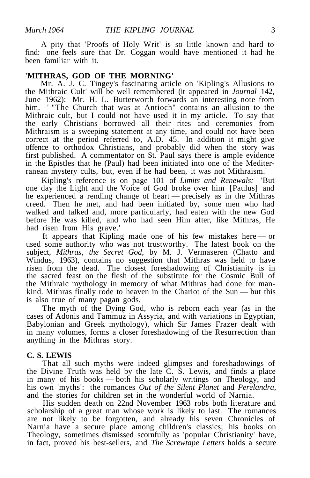A pity that 'Proofs of Holy Writ' is so little known and hard to find: one feels sure that Dr. Coggan would have mentioned it had he been familiar with it

#### **'MITHRAS, GOD OF THE MORNING'**

Mr. A. J. C. Tingey's fascinating article on 'Kipling's Allusions to the Mithraic Cult' will be well remembered (it appeared in *Journal* 142, June 1962): Mr. H. L. Butterworth forwards an interesting note from him. ' "The Church that was at Antioch" contains an allusion to the Mithraic cult, but I could not have used it in my article. To say that the early Christians borrowed all their rites and ceremonies from Mithraism is a sweeping statement at any time, and could not have been correct at the period referred to, A.D. 45. In addition it might give offence to orthodox Christians, and probably did when the story was first published. A commentator on St. Paul says there is ample evidence in the Epistles that he (Paul) had been initiated into one of the Mediterranean mystery cults, but, even if he had been, it was not Mithraism.'

Kipling's reference is on page 101 of *Limits and Renewals:* 'But one day the Light and the Voice of God broke over him [Paulus] and he experienced a rending change of heart — precisely as in the Mithras creed. Then he met, and had been initiated by, some men who had walked and talked and, more particularly, had eaten with the new God before He was killed, and who had seen Him after, like Mithras, He had risen from His grave.'

It appears that Kipling made one of his few mistakes here — or used some authority who was not trustworthy. The latest book on the subject, *Mithras, the Secret God,* by M. J. Vermaseren (Chatto and Windus, 1963), contains no suggestion that Mithras was held to have risen from the dead. The closest foreshadowing of Christianity is in the sacred feast on the flesh of the substitute for the Cosmic Bull of the Mithraic mythology in memory of what Mithras had done for mankind. Mithras finally rode to heaven in the Chariot of the Sun — but this is also true of many pagan gods.

The myth of the Dying God, who is reborn each year (as in the cases of Adonis and Tammuz in Assyria, and with variations in Egyptian, Babylonian and Greek mythology), which Sir James Frazer dealt with in many volumes, forms a closer foreshadowing of the Resurrection than anything in the Mithras story.

#### **C. S. LEWIS**

That all such myths were indeed glimpses and foreshadowings of the Divine Truth was held by the late  $\overline{C}$ .  $\overline{S}$ . Lewis, and finds a place in many of his books — both his scholarly writings on Theology, and his own 'myths': the romances *Out of the Silent Planet* and *Perelandra,* and the stories for children set in the wonderful world of Narnia.

His sudden death on 22nd November 1963 robs both literature and scholarship of a great man whose work is likely to last. The romances are not likely to be forgotten, and already his seven Chronicles of Narnia have a secure place among children's classics; his books on Theology, sometimes dismissed scornfully as 'popular Christianity' have, in fact, proved his best-sellers, and *The Screwtape Letters* holds a secure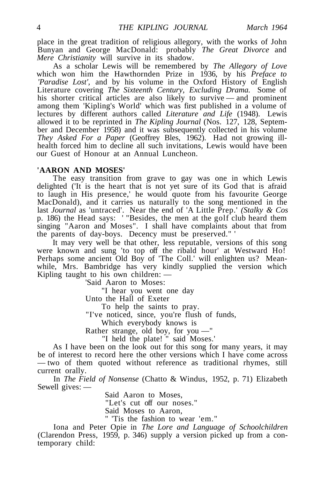place in the great tradition of religious allegory, with the works of John Bunyan and George MacDonald: probably *The Great Divorce* and *Mere Christianity* will survive in its shadow.

As a scholar Lewis will be remembered by *The Allegory of Love* which won him the Hawthornden Prize in 1936, by his *Preface to 'Paradise Lost',* and by his volume in the Oxford History of English Literature covering *The Sixteenth Century, Excluding Drama.* Some of his shorter critical articles are also likely to survive — and prominent among them 'Kipling's World' which was first published in a volume of lectures by different authors called *Literature and Life* (1948). Lewis allowed it to be reprinted in *The Kipling Journal* (Nos. 127, 128, September and December 1958) and it was subsequently collected in his volume *They Asked For a Paper* (Geoffrey Bles, 1962). Had not growing illhealth forced him to decline all such invitations, Lewis would have been our Guest of Honour at an Annual Luncheon.

#### **'AARON AND MOSES'**

The easy transition from grave to gay was one in which Lewis delighted ('It is the heart that is not yet sure of its God that is afraid to laugh in His presence,' he would quote from his favourite George MacDonald), and it carries us naturally to the song mentioned in the last *Journal* as 'untraced'. Near the end of 'A Little Prep.' *(Stalky & Cos* p. 186) the Head says: ' "Besides, the men at the golf club heard them singing "Aaron and Moses". I shall have complaints about that from the parents of day-boys. Decency must be preserved." '

It may very well be that other, less reputable, versions of this song were known and sung 'to top off the ribald hour' at Westward Ho! Perhaps some ancient Old Boy of 'The Coll.' will enlighten us? Meanwhile, Mrs. Bambridge has very kindly supplied the version which Kipling taught to his own children: —

'Said Aaron to Moses:

"I hear you went one day

Unto the Hall of Exeter

To help the saints to pray.

"I've noticed, since, you're flush of funds,

Which everybody knows is

Rather strange, old boy, for you —"

"I held the plate! " said Moses.'

As I have been on the look out for this song for many years, it may be of interest to record here the other versions which I have come across — two of them quoted without reference as traditional rhymes, still current orally.

In *The Field of Nonsense* (Chatto & Windus, 1952, p. 71) Elizabeth Sewell gives: —

Said Aaron to Moses,

"Let's cut off our noses."

Said Moses to Aaron,

" 'Tis the fashion to wear 'em."

Iona and Peter Opie in *The Lore and Language of Schoolchildren* (Clarendon Press, 1959, p. 346) supply a version picked up from a contemporary child: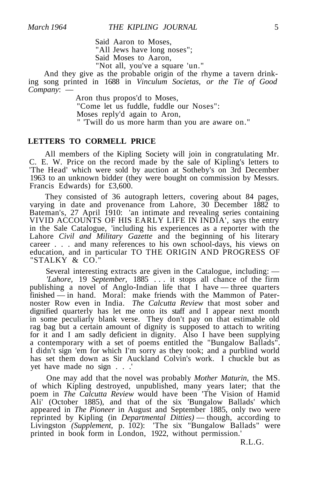Said Aaron to Moses, "All Jews have long noses"; Said Moses to Aaron,

"Not all, you've a square 'un."

And they give as the probable origin of the rhyme a tavern drinking song printed in 1688 in *Vinculum Societas, or the Tie of Good Company*: —

> Aron thus propos'd to Moses, "Come let us fuddle, fuddle our Noses": Moses reply'd again to Aron, " 'Twill do us more harm than you are aware on."

#### **LETTERS TO CORMELL PRICE**

All members of the Kipling Society will join in congratulating Mr. C. E. W. Price on the record made by the sale of Kipling's letters to 'The Head' which were sold by auction at Sotheby's on 3rd December 1963 to an unknown bidder (they were bought on commission by Messrs. Francis Edwards) for £3,600.

They consisted of 36 autograph letters, covering about 84 pages, varying in date and provenance from Lahore, 30 December 1882 to Bateman's, 27 April 1910: 'an intimate and revealing series containing VIVID ACCOUNTS OF HIS EARLY LIFE IN INDIA', says the entry in the Sale Catalogue, 'including his experiences as a reporter with the Lahore *Civil and Military Gazette* and the beginning of his literary career . . . and many references to his own school-days, his views on education, and in particular TO THE ORIGIN AND PROGRESS OF "STALKY & CO."

Several interesting extracts are given in the Catalogue, including: — *'Lahore,* 19 *September,* 1885 .. . it stops all chance of the firm publishing a novel of Anglo-Indian life that I have — three quarters finished — in hand. Moral: make friends with the Mammon of Paternoster Row even in India. *The Calcutta Review* that most sober and dignified quarterly has let me onto its staff and I appear next month in some peculiarly blank verse. They don't pay on that estimable old rag bag but a certain amount of dignity is supposed to attach to writing for it and I am sadly deficient in dignity. Also I have been supplying a contemporary with a set of poems entitled the "Bungalow Ballads". I didn't sign 'em for which I'm sorry as they took; and a purblind world has set them down as Sir Auckland Colvin's work. I chuckle but as yet have made no sign . . .'

One may add that the novel was probably *Mother Maturin,* the MS. of which Kipling destroyed, unpublished, many years later; that the poem in *The Calcutta Review* would have been 'The Vision of Hamid Ali' (October 1885), and that of the six 'Bungalow Ballads' which appeared in *The Pioneer* in August and September 1885, only two were reprinted by Kipling (in *Departmental Ditties)* — though, according to Livingston *(Supplement,* p. 102): 'The six "Bungalow Ballads" were printed in book form in London, 1922, without permission.'

R.L.G.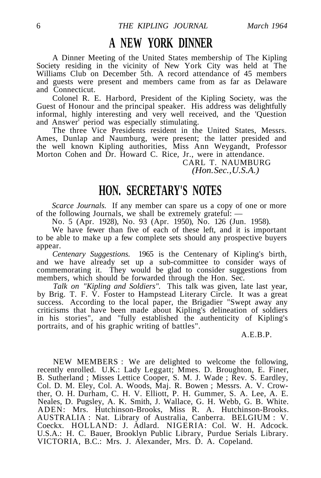### **A NEW YORK DINNER**

A Dinner Meeting of the United States membership of The Kipling Society residing in the vicinity of New York City was held at The Williams Club on December 5th. A record attendance of 45 members and guests were present and members came from as far as Delaware and Connecticut.

Colonel R. E. Harbord, President of the Kipling Society, was the Guest of Honour and the principal speaker. His address was delightfully informal, highly interesting and very well received, and the 'Question and Answer' period was especially stimulating.

The three Vice Presidents resident in the United States, Messrs. Ames, Dunlap and Naumburg, were present; the latter presided and the well known Kipling authorities, Miss Ann Weygandt, Professor Morton Cohen and Dr. Howard C. Rice, Jr., were in attendance.

> CARL T. NAUMBURG *(Hon. Sec., U.S.A.)*

### **HON. SECRETARY'S NOTES**

*Scarce Journals.* If any member can spare us a copy of one or more of the following Journals, we shall be extremely grateful: —

No. 5 (Apr. 1928), No. 93 (Apr. 1950), No. 126 (Jun. 1958).

We have fewer than five of each of these left, and it is important to be able to make up a few complete sets should any prospective buyers appear.

*Centenary Suggestions.* 1965 is the Centenary of Kipling's birth, and we have already set up a sub-committee to consider ways of commemorating it. They would be glad to consider suggestions from members, which should be forwarded through the Hon. Sec.

*Talk on "Kipling and Soldiers".* This talk was given, late last year, by Brig. T. F. V. Foster to Hampstead Literary Circle. It was a great success. According to the local paper, the Brigadier "Swept away any criticisms that have been made about Kipling's delineation of soldiers in his stories", and "fully established the authenticity of Kipling's portraits, and of his graphic writing of battles".

A.E.B.P.

NEW MEMBERS : We are delighted to welcome the following, recently enrolled. U.K.: Lady Leggatt; Mmes. D. Broughton, E. Finer, B. Sutherland ; Misses Lettice Cooper, S. M. J. Wade ; Rev. S. Eardley, Col. D. M. Eley, Col. A. Woods, Maj. R. Bowen ; Messrs. A. V. Crowther, O. H. Durham, C. H. V. Elliott, P. H. Gummer, S. A. Lee, A. E. Neales, D. Pugsley, A. K. Smith, J. Wallace, G. H. Webb, G. B. White. ADEN: Mrs. Hutchinson-Brooks, Miss R. A. Hutchinson-Brooks. AUSTRALIA : Nat. Library of Australia, Canberra. BELGIUM : V. Coeckx. HOLLAND: J. Adlard. NIGERIA: Col. W. H. Adcock. U.S.A.: H. C. Bauer, Brooklyn Public Library, Purdue Serials Library. VICTORIA, B.C.: Mrs. J. Alexander, Mrs. D. A. Copeland.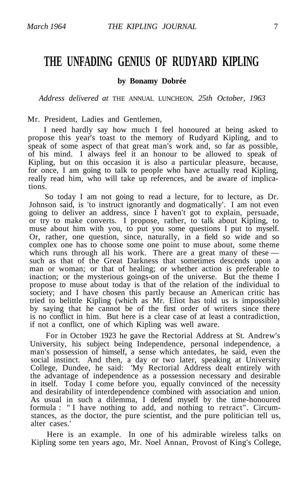### **THE UNFADING GENIUS OF RUDYARD KIPLING**

**by Bonamy Dobrée**

*Address delivered at* THE ANNUAL LUNCHEON, *25th October, 1963*

Mr. President, Ladies and Gentlemen,

I need hardly say how much I feel honoured at being asked to propose this year's toast to the memory of Rudyard Kipling, and to speak of some aspect of that great man's work and, so far as possible, of his mind. I always feel it an honour to be allowed to speak of Kipling, but on this occasion it is also a particular pleasure, because, for once, I am going to talk to people who have actually read Kipling, really read him, who will take up references, and be aware of implications.

So today I am not going to read a lecture, for to lecture, as Dr. Johnson said, is 'to instruct ignorantly and dogmatically'. I am not even going to deliver an address, since I haven't got to explain, persuade, or try to make converts. I propose, rather, to talk about Kipling, to muse about him with you, to put you some questions I put to myself. Or, rather, one question, since, naturally, in a field so wide and so complex one has to choose some one point to muse about, some theme which runs through all his work. There are a great many of these  $$ such as that of the Great Darkness that sometimes descends upon a man or woman; or that of healing; or whether action is preferable to inaction; or the mysterious goings-on of the universe. But the theme I propose to muse about today is that of the relation of the individual to society; and I have chosen this partly because an American critic has tried to belittle Kipling (which as Mr. Eliot has told us is impossible) by saying that he cannot be of the first order of writers since there is no conflict in him. But here is a clear case of at least a contradiction, if not a conflict, one of which Kipling was well aware.

For in October 1923 he gave the Rectorial Address at St. Andrew's University, his subject being Independence, personal independence, a man's possession of himself, a sense which antedates, he said, even the social instinct. And then, a day or two later, speaking at University College, Dundee, he said: 'My Rectorial Address dealt entirely with the advantage of independence as a possession necessary and desirable in itself. Today I come before you, equally convinced of the necessity and desirability of interdependence combined with association and union. As usual in such a dilemma, I defend myself by the time-honoured formula : " I have nothing to add, and nothing to retract". Circumstances, as the doctor, the pure scientist, and the pure politician tell us, alter cases.'

Here is an example. In one of his admirable wireless talks on Kipling some ten years ago, Mr. Noel Annan, Provost of King's College,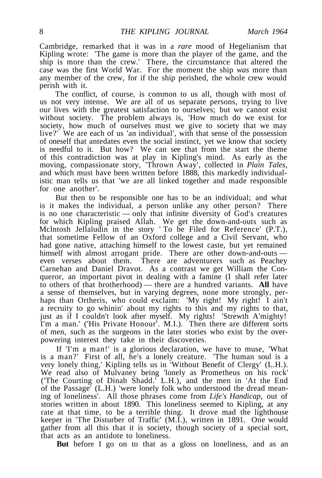Cambridge, remarked that it was in a *rare* mood of Hegelianism that Kipling wrote: 'The game is more than the player of the game, and the ship is more than the crew.' There, the circumstance that altered the case was the first World War. For the moment the ship *was* more than any member of the crew, for if the ship perished, the whole crew would perish with it.

The conflict, of course, is common to us all, though with most of us not very intense. We are all of us separate persons, trying to live our lives with the greatest satisfaction to ourselves; but we cannot exist without society. The problem always is, 'How much do we exist for society, how much of ourselves must we give to society that we may live?' We are each of us 'an individual', with that sense of the possession of oneself that antedates even the social instinct, yet we know that society is needful to it. But how? We can see that from the start the theme of this contradiction was at play in Kipling's mind. As early as the moving, compassionate story, 'Thrown Away', collected in *Plain Tales,* and which must have been written before 1888, this markedly individualistic man tells us that 'we are all linked together and made responsible for one another'.

But then to be responsible one has to be an individual; and what is it makes the individual, a person unlike any other person? There is no one characteristic — only that infinite diversity of God's creatures for which Kipling praised Allah. We get the down-and-outs such as Mclntosh Jellaludin in the story ' To be Filed for Reference' (P.T.), that sometime Fellow of an Oxford college and a Civil Servant, who had gone native, attaching himself to the lowest caste, but yet remained himself with almost arrogant pride. There are other down-and-outs even verses about them. There are adventurers such as Peachey Carnehan and Daniel Dravot. As a contrast we get William the Conqueror, an important pivot in dealing with a famine (I shall refer later to others of that brotherhood) — there are a hundred variants. **All** have a sense of themselves, but in varying degrees, none more strongly, perhaps than Ortheris, who could exclaim: 'My right! My right! I ain't a recruity to go whinin' about my rights to this and my rights to that, just as if I couldn't look after myself. My rights! 'Strewth A'mighty! I'm a man.' ('His Private Honour'. M.I.). Then there are different sorts of men, such as the surgeons in the later stories who exist by the overpowering interest they take in their discoveries.

If 'I'm a man!' is a glorious declaration, we have to muse, 'What is a man?' First of all, he's a lonely creature. 'The human soul is a very lonely thing,' Kipling tells us in 'Without Benefit of Clergy' (L.H.). We read also of Mulvaney being 'lonely as Prometheus on his rock' ('The Courting of Dinah Shadd.' L.H.), and the men in 'At the End of the Passage' (L.H.) 'were lonely folk who understood the dread meaning of loneliness'. All those phrases come from *Life's Handicap,* out of stories written in about 1890. This loneliness seemed to Kipling, at any rate at that time, to be a terrible thing. It drove mad the lighthouse keeper in 'The Disturber of Traffic' (M.I.), written in 1891. One would gather from all this that it is society, though society of a special sort, that acts as an antidote to loneliness.

**But** before I go on to that as a gloss on loneliness, and as an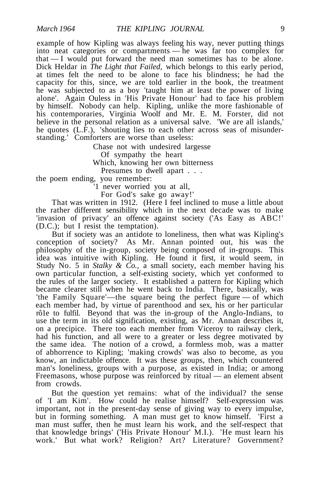example of how Kipling was always feeling his way, never putting things into neat categories or compartments — he was far too complex for that — I would put forward the need man sometimes has to be alone. Dick Heldar in *The Light that Failed,* which belongs to this early period, at times felt the need to be alone to face his blindness; he had the capacity for this, since, we are told earlier in the book, the treatment he was subjected to as a boy 'taught him at least the power of living alone'. Again Ouless in 'His Private Honour' had to face his problem by himself. Nobody can help. Kipling, unlike the more fashionable of his contemporaries, Virginia Woolf and Mr. E. M. Forster, did not believe in the personal relation as a universal salve. 'We are all islands,' he quotes (L.F.), 'shouting lies to each other across seas of misunderstanding.' Comforters are worse than useless:

Chase not with undesired largesse Of sympathy the heart Which, knowing her own bitterness Presumes to dwell apart . . . the poem ending, you remember:

'1 never worried you at all, For God's sake go away!'

That was written in 1912. (Here I feel inclined to muse a little about the rather different sensibility which in the next decade was to make 'invasion of privacy' an offence against society ('As Easy as ABC!' (D.C.); but I resist the temptation).

But if society was an antidote to loneliness, then what was Kipling's conception of society? As Mr. Annan pointed out, his was the philosophy of the in-group, society being composed of in-groups. This idea was intuitive with Kipling. He found it first, it would seem, in Study No. 5 in *Stalky & Co.,* a small society, each member having his own particular function, a self-existing society, which yet conformed to the rules of the larger society. It established a pattern for Kipling which became clearer still when he went back to India. There, basically, was 'the Family Square'—the square being the perfect figure — of which each member had, by virtue of parenthood and sex, his or her particular rô1e to fulfil. Beyond that was the in-group of the Anglo-Indians, to use the term in its old signification, existing, as Mr. Annan describes it, on a precipice. There too each member from Viceroy to railway clerk, had his function, and all were to a greater or less degree motivated by the same idea. The notion of a crowd, a formless mob, was a matter of abhorrence to Kipling; 'making crowds' was also to become, as you know, an indictable offence. It was these groups, then, which countered man's loneliness, groups with a purpose, as existed in India; or among Freemasons, whose purpose was reinforced by ritual — an element absent from crowds.

But the question yet remains: what of the individual? the sense of 'I am Kim'. How could he realise himself? Self-expression was important, not in the present-day sense of giving way to every impulse, but in forming something. A man must get to know himself. 'First a man must suffer, then he must learn his work, and the self-respect that that knowledge brings' ('His Private Honour' M.I.). 'He must learn his work.' But what work? Religion? Art? Literature? Government?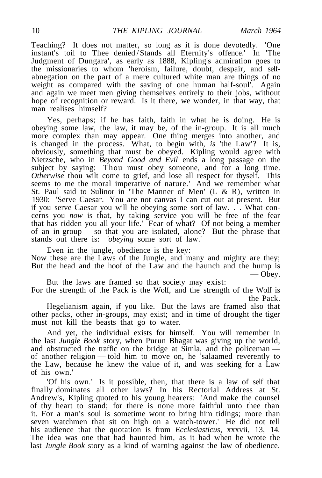Teaching? It does not matter, so long as it is done devotedly. 'One instant's toil to Thee denied / Stands all Eternity's offence.' In 'The Judgment of Dungara', as early as 1888, Kipling's admiration goes to the missionaries to whom 'heroism, failure, doubt, despair, and selfabnegation on the part of a mere cultured white man are things of no weight as compared with the saving of one human half-soul'. Again and again we meet men giving themselves entirely to their jobs, without hope of recognition or reward. Is it there, we wonder, in that way, that man realises himself?

Yes, perhaps; if he has faith, faith in what he is doing. He is obeying some law, the law, it may be, of the in-group. It is all much more complex than may appear. One thing merges into another, and is changed in the process. What, to begin with, *is* 'the Law'? It is, obviously, something that must be obeyed. Kipling would agree with Nietzsche, who in *Beyond Good and Evil* ends a long passage on the subject by saying: Thou must obey someone, and for a long time. *Otherwise* thou wilt come to grief, and lose all respect for thyself. This seems to me the moral imperative of nature.' And we remember what St. Paul said to Sulinor in 'The Manner of Men' (L & R), written in 1930: 'Serve Caesar. You are not canvas I can cut out at present. But if you serve Caesar you will be obeying some sort of law. . . What concerns you *now* is that, by taking service you will be free of the fear that has ridden you all your life.' Fear of what? Of not being a member of an in-group — so that you are isolated, alone? But the phrase that stands out there is: *'obeying* some sort of law.'

Even in the jungle, obedience is the key:

Now these are the Laws of the Jungle, and many and mighty are they; But the head and the hoof of the Law and the haunch and the hump is — Obey.

But the laws are framed so that society may exist:

For the strength of the Pack is the Wolf, and the strength of the Wolf is the Pack.

Hegelianism again, if you like. But the laws are framed also that other packs, other in-groups, may exist; and in time of drought the tiger must not kill the beasts that go to water.

And yet, the individual exists for himself. You will remember in the last *Jungle Book* story, when Purun Bhagat was giving up the world, and obstructed the traffic on the bridge at Simla, and the policeman of another religion — told him to move on, he 'salaamed reverently to the Law, because he knew the value of it, and was seeking for a Law of his own.'

'Of his own.' Is it possible, then, that there is a law of self that finally dominates all other laws? In his Rectorial Address at St. Andrew's, Kipling quoted to his young hearers: 'And make the counsel of thy heart to stand; for there is none more faithful unto thee than it. For a man's soul is sometime wont to bring him tidings; more than seven watchmen that sit on high on a watch-tower.' He did not tell his audience that the quotation is from *Ecclesiasticus,* xxxvii, 13, 14. The idea was one that had haunted him, as it had when he wrote the last *Jungle Book* story as a kind of warning against the law of obedience.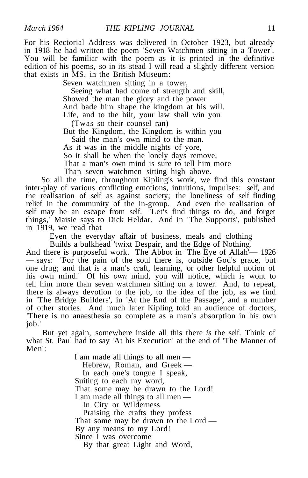For his Rectorial Address was delivered in October 1923, but already in 1918 he had written the poem 'Seven Watchmen sitting in a Tower'. You will be familiar with the poem as it is printed in the definitive edition of his poems, so in its stead I will read a slightly different version that exists in MS. in the British Museum:

Seven watchmen sitting in a tower,

Seeing what had come of strength and skill, Showed the man the glory and the power And bade him shape the kingdom at his will. Life, and to the hilt, your law shall win you

(Twas so their counsel ran)

But the Kingdom, the Kingdom is within you

Said the man's own mind to the man.

As it was in the middle nights of yore,

So it shall be when the lonely days remove,

That a man's own mind is sure to tell him more

Than seven watchmen sitting high above.

So all the time, throughout Kipling's work, we find this constant inter-play of various conflicting emotions, intuitions, impulses: self, and the realisation of self as against society; the loneliness of self finding relief in the community of the in-group. And even the realisation of self may be an escape from self. 'Let's find things to do, and forget things,' Maisie says to Dick Heldar. And in 'The Supports', published in 1919, we read that

Even the everyday affair of business, meals and clothing

Builds a bulkhead 'twixt Despair, and the Edge of Nothing.

And there is purposeful work. The Abbot in 'The Eye of Allah'— 1926 — says: 'For the pain of the soul there is, outside God's grace, but one drug; and that is a man's craft, learning, or other helpful notion of his own mind.' Of his *own* mind, you will notice, which is wont to tell him more than seven watchmen sitting on a tower. And, to repeat, there is always devotion to the job, to the idea of the job, as we find in 'The Bridge Builders', in 'At the End of the Passage', and a number of other stories. And much later Kipling told an audience of doctors, 'There is no anaesthesia so complete as a man's absorption in his own job.'

But yet again, somewhere inside all this there *is* the self. Think of what St. Paul had to say 'At his Execution' at the end of 'The Manner of Men':

> I am made all things to all men — Hebrew, Roman, and Greek — In each one's tongue I speak, Suiting to each my word, That some may be drawn to the Lord! I am made all things to all men — In City or Wilderness Praising the crafts they profess That some may be drawn to the Lord — By any means to my Lord! Since I was overcome By that great Light and Word,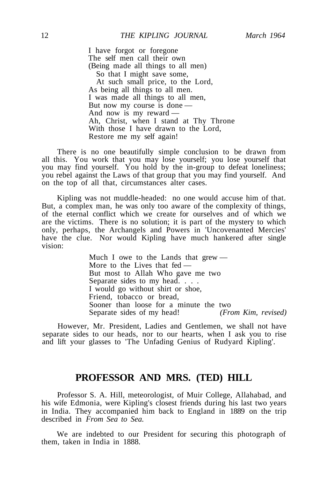I have forgot or foregone The self men call their own (Being made all things to all men) So that I might save some, At such small price, to the Lord, As being all things to all men. I was made all things to all men, But now my course is done — And now is my reward — Ah, Christ, when I stand at Thy Throne With those I have drawn to the Lord. Restore me my self again!

There is no one beautifully simple conclusion to be drawn from all this. You work that you may lose yourself; you lose yourself that you may find yourself. You hold by the in-group to defeat loneliness; you rebel against the Laws of that group that you may find yourself. And on the top of all that, circumstances alter cases.

Kipling was not muddle-headed: no one would accuse him of that. But, a complex man, he was only too aware of the complexity of things, of the eternal conflict which we create for ourselves and of which we are the victims. There is no solution; it is part of the mystery to which only, perhaps, the Archangels and Powers in 'Uncovenanted Mercies' have the clue. Nor would Kipling have much hankered after single vision:

> Much I owe to the Lands that grew — More to the Lives that fed — But most to Allah Who gave me two Separate sides to my head. . . . I would go without shirt or shoe, Friend, tobacco or bread, Sooner than loose for a minute the two Separate sides of my head! *(From Kim, revised)*

However, Mr. President, Ladies and Gentlemen, we shall not have separate sides to our heads, nor to our hearts, when I ask you to rise and lift your glasses to 'The Unfading Genius of Rudyard Kipling'.

#### **PROFESSOR AND MRS. (TED) HILL**

Professor S. A. Hill, meteorologist, of Muir College, Allahabad, and his wife Edmonia, were Kipling's closest friends during his last two years in India. They accompanied him back to England in 1889 on the trip described in *From Sea to Sea.*

We are indebted to our President for securing this photograph of them, taken in India in 1888.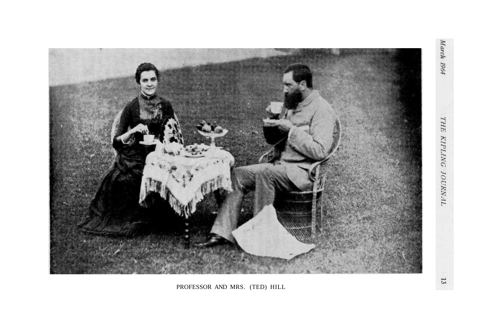March 1964



PROFESSOR AND MRS. (TED) HILL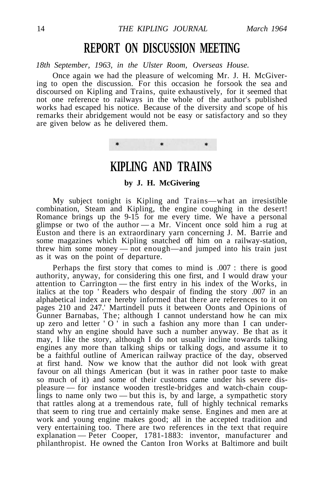### **REPORT ON DISCUSSION MEETING**

*18th September, 1963, in the Ulster Room, Overseas House.*

Once again we had the pleasure of welcoming Mr. J. H. McGivering to open the discussion. For this occasion he forsook the sea and discoursed on Kipling and Trains, quite exhaustively, for it seemed that not one reference to railways in the whole of the author's published works had escaped his notice. Because of the diversity and scope of his remarks their abridgement would not be easy or satisfactory and so they are given below as he delivered them.

> $\ast$  $\ast$ ¥

**KIPLING AND TRAINS**

#### **by J. H. McGivering**

My subject tonight is Kipling and Trains—what an irresistible combination, Steam and Kipling, the engine coughing in the desert! Romance brings up the 9-15 for me every time. We have a personal glimpse or two of the author — a Mr. Vincent once sold him a rug at Euston and there is an extraordinary yarn concerning J. M. Barrie and some magazines which Kipling snatched off him on a railway-station, threw him some money — not enough—and jumped into his train just as it was on the point of departure.

Perhaps the first story that comes to mind is .007 : there is good authority, anyway, for considering this one first, and I would draw your attention to Carrington — the first entry in his index of the Works, in italics at the top ' Readers who despair of finding the story .007 in an alphabetical index are hereby informed that there are references to it on pages 210 and 247.' Martindell puts it between Oonts and Opinions of Gunner Barnabas, The; although I cannot understand how he can mix up zero and letter  $'O'$  in such a fashion any more than I can understand why an engine should have such a number anyway. Be that as it may, I like the story, although I do not usually incline towards talking engines any more than talking ships or talking dogs, and assume it to be a faithful outline of American railway practice of the day, observed at first hand. Now we know that the author did not look with great favour on all things American (but it was in rather poor taste to make so much of it) and some of their customs came under his severe displeasure — for instance wooden trestle-bridges and watch-chain couplings to name only two — but this is, by and large, a sympathetic story that rattles along at a tremendous rate, full of highly technical remarks that seem to ring true and certainly make sense. Engines and men are at work and young engine makes good; all in the accepted tradition and very entertaining too. There are two references in the text that require explanation — Peter Cooper, 1781-1883: inventor, manufacturer and philanthropist. He owned the Canton Iron Works at Baltimore and built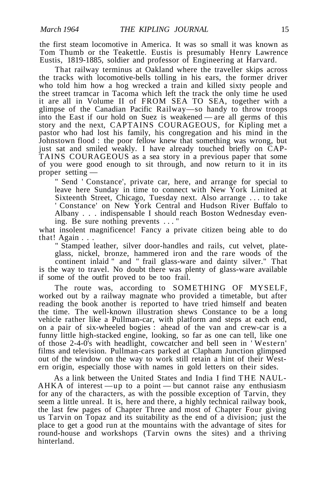the first steam locomotive in America. It was so small it was known as Tom Thumb or the Teakettle. Eustis is presumably Henry Lawrence Eustis, 1819-1885, soldier and professor of Engineering at Harvard.

That railway terminus at Oakland where the traveller skips across the tracks with locomotive-bells tolling in his ears, the former driver who told him how a hog wrecked a train and killed sixty people and the street tramcar in Tacoma which left the track the only time he used it are all in Volume II of FROM SEA TO SEA, together with a glimpse of the Canadian Pacific Railway—so handy to throw troops into the East if our hold on Suez is weakened — are all germs of this story and the next, CAPTAINS COURAGEOUS, for Kipling met a pastor who had lost his family, his congregation and his mind in the Johnstown flood : the poor fellow knew that something was wrong, but just sat and smiled weakly. I have already touched briefly on CAP-TAINS COURAGEOUS as a sea story in a previous paper that some of you were good enough to sit through, and now return to it in its proper setting —

" Send ' Constance', private car, here, and arrange for special to leave here Sunday in time to connect with New York Limited at Sixteenth Street, Chicago, Tuesday next. Also arrange .. . to take ' Constance' on New York Central and Hudson River Buffalo to Albany . . . indispensable I should reach Boston Wednesday evening. Be sure nothing prevents ... "

what insolent magnificence! Fancy a private citizen being able to do that! Again . . .

" Stamped leather, silver door-handles and rails, cut velvet, plateglass, nickel, bronze, hammered iron and the rare woods of the continent inlaid " and " frail glass-ware and dainty silver." That is the way to travel. No doubt there was plenty of glass-ware available if some of the outfit proved to be too frail.

The route was, according to SOMETHING OF MYSELF, worked out by a railway magnate who provided a timetable, but after reading the book another is reported to have tried himself and beaten the time. The well-known illustration shews Constance to be a long vehicle rather like a Pullman-car, with platform and steps at each end, on a pair of six-wheeled bogies : ahead of the van and crew-car is a funny little high-stacked engine, looking, so far as one can tell, like one of those 2-4-0's with headlight, cowcatcher and bell seen in ' Western' films and television. Pullman-cars parked at Clapham Junction glimpsed out of the window on the way to work still retain a hint of their Western origin, especially those with names in gold letters on their sides.

As a link between the United States and India I find THE NAUL-AHKA of interest —up to a point — but cannot raise any enthusiasm for any of the characters, as with the possible exception of Tarvin, they seem a little unreal. It is, here and there, a highly technical railway book, the last few pages of Chapter Three and most of Chapter Four giving us Tarvin on Topaz and its suitability as the end of a division; just the place to get a good run at the mountains with the advantage of sites for round-house and workshops (Tarvin owns the sites) and a thriving hinterland.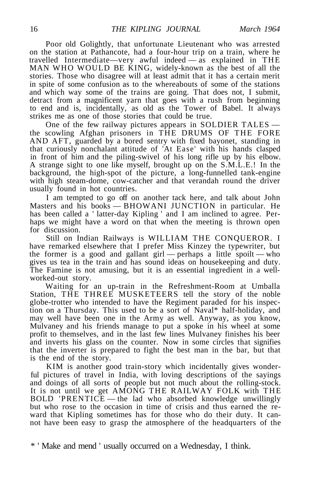Poor old Golightly, that unfortunate Lieutenant who was arrested on the station at Pathancote, had a four-hour trip on a train, where he travelled Intermediate—very awful indeed — as explained in THE MAN WHO WOULD BE KING, widely-known as the best of all the stories. Those who disagree will at least admit that it has a certain merit in spite of some confusion as to the whereabouts of some of the stations and which way some of the trains are going. That does not, I submit, detract from a magnificent yarn that goes with a rush from beginning to end and is, incidentally, as old as the Tower of Babel. It always strikes me as one of those stories that could be true.

One of the few railway pictures appears in SOLDIER TALES the scowling Afghan prisoners in THE DRUMS OF THE FORE AND AFT, guarded by a bored sentry with fixed bayonet, standing in that curiously nonchalant attitude of 'At Ease' with his hands clasped in front of him and the piling-swivel of his long rifle up by his elbow. A strange sight to one like myself, brought up on the S.M.L.E.! In the background, the high-spot of the picture, a long-funnelled tank-engine with high steam-dome, cow-catcher and that verandah round the driver usually found in hot countries.

I am tempted to go off on another tack here, and talk about John Masters and his books — BHOWANI JUNCTION in particular. He has been called a ' latter-day Kipling ' and I am inclined to agree. Perhaps we might have a word on that when the meeting is thrown open for discussion.

Still on Indian Railways is WILLIAM THE CONQUEROR. I have remarked elsewhere that I prefer Miss Kinzey the typewriter, but the former is a good and gallant girl — perhaps a little spoilt — who gives us tea in the train and has sound ideas on housekeeping and duty. The Famine is not amusing, but it is an essential ingredient in a wellworked-out story.

Waiting for an up-train in the Refreshment-Room at Umballa Station, THE THREE MUSKETEERS tell the story of the noble globe-trotter who intended to have the Regiment paraded for his inspection on a Thursday. This used to be a sort of Naval\* half-holiday, and may well have been one in the Army as well. Anyway, as you know, Mulvaney and his friends manage to put a spoke in his wheel at some profit to themselves, and in the last few lines Mulvaney finishes his beer and inverts his glass on the counter. Now in some circles that signifies that the inverter is prepared to fight the best man in the bar, but that is the end of the story.

KIM is another good train-story which incidentally gives wonderful pictures of travel in India, with loving descriptions of the sayings and doings of all sorts of people but not much about the rolling-stock. It is not until we get AMONG THE RAILWAY FOLK with THE BOLD 'PRENTICE — the lad who absorbed knowledge unwillingly but who rose to the occasion in time of crisis and thus earned the reward that Kipling sometimes has for those who do their duty. It cannot have been easy to grasp the atmosphere of the headquarters of the

\* ' Make and mend ' usually occurred on a Wednesday, I think.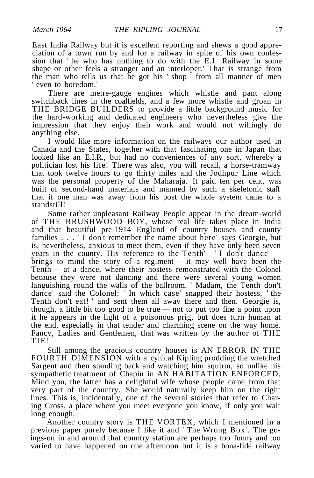East India Railway but it is excellent reporting and shews a good appreciation of a town run by and for a railway in spite of his own confession that ' he who has nothing to do with the E.I. Railway in some shape or other feels a stranger and an interloper.' That is strange from the man who tells us that he got his ' shop ' from all manner of men ' even to boredom.'

There are metre-gauge engines which whistle and pant along switchback lines in the coalfields, and a few more whistle and groan in THE BRIDGE BUILDERS to provide a little background music for the hard-working and dedicated engineers who nevertheless give the impression that they enjoy their work and would not willingly do anything else.

I would like more information on the railways our author used in Canada and the States, together with that fascinating one in Japan that looked like an E.I.R., but had no conveniences of any sort, whereby a politician lost his life! There was also, you will recall, a horse-tramway that took twelve hours to go thirty miles and the Jodhpur Line which was the personal property of the Maharaja. It paid ten per cent, was built of second-hand materials and manned by such a skeletonic staff that if one man was away from his post the whole system came to a standstill!

Some rather unpleasant Railway People appear in the dream-world of THE BRUSHWOOD BOY, whose real life takes place in India and that beautiful pre-1914 England of country houses and county families . . . ' I don't remember the name about here' says Georgie, but is, nevertheless, anxious to meet them, even if they have only been seven years in the county. His reference to the Tenth'—' I don't dance' brings to mind the story of a regiment — it may well have been the Tenth — at a dance, where their hostess remonstrated with the Colonel because they were not dancing and there were several young women languishing round the walls of the ballroom. ' Madam, the Tenth don't dance' said the Colonel: ' In which case' snapped their hostess, ' the Tenth don't eat! ' and sent them all away there and then. Georgie is, though, a little bit too good to be true — not to put too fine a point upon it he appears in the light of a poisonous prig, but does turn human at the end, especially in that tender and charming scene on the way home. Fancy, Ladies and Gentlemen, that was written by the author of THE TIE!

Still among the gracious country houses is AN ERROR IN THE FOURTH DIMENSION with a cynical Kipling prodding the wretched Sargent and then standing back and watching him squirm, so unlike his sympathetic treatment of Chapin in AN HABITATION ENFORCED. Mind you, the latter has a delightful wife whose people came from that very part of the country. She would naturally keep him on the right lines. This is, incidentally, one of the several stories that refer to Charing Cross, a place where you meet everyone you know, if only you wait long enough.

Another country story is THE VORTEX, which I mentioned in a previous paper purely because I like it and ' The Wrong Box'. The goings-on in and around that country station are perhaps too funny and too varied to have happened on one afternoon but it is a bona-fide railway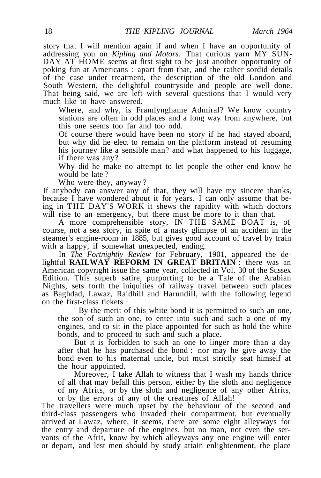story that I will mention again if and when I have an opportunity of addressing you on *Kipling and Motors.* That curious yarn MY SUN-DAY AT HOME seems at first sight to be just another opportunity of poking fun at Americans : apart from that, and the rather sordid details of the case under treatment, the description of the old London and South Western, the delightful countryside and people are well done. That being said, we are left with several questions that I would very much like to have answered.

Where, and why, is Framlynghame Admiral? We know country stations are often in odd places and a long way from anywhere, but this one seems too far and too odd.

Of course there would have been no story if he had stayed aboard, but why did he elect to remain on the platform instead of resuming his journey like a sensible man? and what happened to his luggage, if there was any?

Why did he make no attempt to let people the other end know he would be late ?

Who were they, anyway ?

If anybody can answer any of that, they will have my sincere thanks, because I have wondered about it for years. I can only assume that being in THE DAY'S WORK it shews the rapidity with which doctors will rise to an emergency, but there must be more to it than that.

A more comprehensible story, IN THE SAME BOAT is, of course, not a sea story, in spite of a nasty glimpse of an accident in the steamer's engine-room in 1885, but gives good account of travel by train with a happy, if somewhat unexpected, ending.

In *The Fortnightly Review* for February, 1901, appeared the delightful **RAILWAY REFORM IN GREAT BRITAIN** : there was an American copyright issue the same year, collected in Vol. 30 of the Sussex Edition. This superb satire, purporting to be a Tale of the Arabian Nights, sets forth the iniquities of railway travel between such places as Baghdad, Lawaz, Raidhill and Harundill, with the following legend on the first-class tickets :

' By the merit of this white bond it is permitted to such an one, the son of such an one, to enter into such and such a one of my engines, and to sit in the place appointed for such as hold the white bonds, and to proceed to such and such a place.

But it is forbidden to such an one to linger more than a day after that he has purchased the bond : nor may he give away the bond even to his maternal uncle, but must strictly seat himself at the hour appointed.

Moreover, I take Allah to witness that I wash my hands thrice of all that may befall this person, either by the sloth and negligence of my Afrits, or by the sloth and negligence of any other Afrits, or by the errors of any of the creatures of Allah! '

The travellers were much upset by the behaviour of the second and third-class passengers who invaded their compartment, but eventually arrived at Lawaz, where, it seems, there are some eight alleyways for the entry and departure of the engines, but no man, not even the servants of the Afrit, know by which alleyways any one engine will enter or depart, and lest men should by study attain enlightenment, the place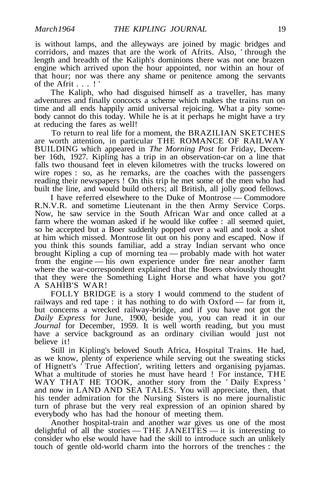is without lamps, and the alleyways are joined by magic bridges and corridors, and mazes that are the work of Afrits. Also, ' through the length and breadth of the Kaliph's dominions there was not one brazen engine which arrived upon the hour appointed, nor within an hour of that hour; nor was there any shame or penitence among the servants of the Afrit . . . ! '

The Kaliph, who had disguised himself as a traveller, has many adventures and finally concocts a scheme which makes the trains run on time and all ends happily amid universal rejoicing. What a pity somebody cannot do this today. While he is at it perhaps he might have a try at reducing the fares as well!

To return to real life for a moment, the BRAZILIAN SKETCHES are worth attention, in particular THE ROMANCE OF RAILWAY BUILDING which appeared in *The Morning Post* for Friday, December 16th, 1927. Kipling has a trip in an observation-car on a line that falls two thousand feet in eleven kilometres with the trucks lowered on wire ropes : so, as he remarks, are the coaches with the passengers reading their newspapers ! On this trip he met some of the men who had built the line, and would build others; all British, all jolly good fellows.

I have referred elsewhere to the Duke of Montrose — Commodore R.N.V.R. and sometime Lieutenant in the then Army Service Corps. Now, he saw service in the South African War and once called at a farm where the woman asked if he would like coffee : all seemed quiet, so he accepted but a Boer suddenly popped over a wall and took a shot at him which missed. Montrose lit out on his pony and escaped. Now if you think this sounds familiar, add a stray Indian servant who once brought Kipling a cup of morning tea — probably made with hot water from the engine — his own experience under fire near another farm where the war-correspondent explained that the Boers obviously thought that they were the Something Light Horse and what have you got? A SAHIB'S WAR!

FOLLY BRIDGE is a story I would commend to the student of railways and red tape : it has nothing to do with Oxford — far from it, but concerns a wrecked railway-bridge, and if you have not got the *Daily Express* for June, 1900, beside you, you can read it in our *Journal* for December, 1959. It is well worth reading, but you must have a service background as an ordinary civilian would just not believe it!

Still in Kipling's beloved South Africa, Hospital Trains. He had, as we know, plenty of experience while serving out the sweating sticks of Hignett's ' True Affection', writing letters and organising pyjamas. What a multitude of stories he must have heard ! For instance, THE WAY THAT HE TOOK, another story from the ' Daily Express ' and now in LAND AND SEA TALES. You will appreciate, then, that his tender admiration for the Nursing Sisters is no mere journalistic turn of phrase but the very real expression of an opinion shared by everybody who has had the honour of meeting them.

Another hospital-train and another war gives us one of the most delightful of all the stories — THE JANEITES — it is interesting to consider who else would have had the skill to introduce such an unlikely touch of gentle old-world charm into the horrors of the trenches : the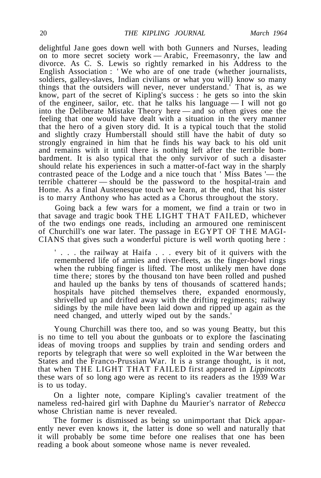delightful Jane goes down well with both Gunners and Nurses, leading on to more secret society work — Arabic, Freemasonry, the law and divorce. As C. S. Lewis so rightly remarked in his Address to the English Association : ' We who are of one trade (whether journalists, soldiers, galley-slaves, Indian civilians or what you will) know so many things that the outsiders will never, never understand.' That is, as we know, part of the secret of Kipling's success : he gets so into the skin of the engineer, sailor, etc. that he talks his language  $\overline{a}$  – I will not go into the Deliberate Mistake Theory here — and so often gives one the feeling that one would have dealt with a situation in the very manner that the hero of a given story did. It is a typical touch that the stolid and slightly crazy Humberstall should still have the habit of duty so strongly engrained in him that he finds his way back to his old unit and remains with it until there is nothing left after the terrible bombardment. It is also typical that the only survivor of such a disaster should relate his experiences in such a matter-of-fact way in the sharply contrasted peace of the Lodge and a nice touch that ' Miss Bates '— the terrible chatterer — should be the password to the hospital-train and Home. As a final Austenesque touch we learn, at the end, that his sister is to marry Anthony who has acted as a Chorus throughout the story.

Going back a few wars for a moment, we find a train or two in that savage and tragic book THE LIGHT THAT FAILED, whichever of the two endings one reads, including an armoured one reminiscent of Churchill's one war later. The passage in EGYPT OF THE MAGI-CIANS that gives such a wonderful picture is well worth quoting here :

' . . . the railway at Haifa . . . every bit of it quivers with the remembered life of armies and river-fleets, as the finger-bowl rings when the rubbing finger is lifted. The most unlikely men have done time there; stores by the thousand ton have been rolled and pushed and hauled up the banks by tens of thousands of scattered hands; hospitals have pitched themselves there, expanded enormously, shrivelled up and drifted away with the drifting regiments; railway sidings by the mile have been laid down and ripped up again as the need changed, and utterly wiped out by the sands.'

Young Churchill was there too, and so was young Beatty, but this is no time to tell you about the gunboats or to explore the fascinating ideas of moving troops and supplies by train and sending orders and reports by telegraph that were so well exploited in the War between the States and the Franco-Prussian War. It is a strange thought, is it not, that when THE LIGHT THAT FAILED first appeared in *Lippincotts* these wars of so long ago were as recent to its readers as the 1939 War is to us today.

On a lighter note, compare Kipling's cavalier treatment of the nameless red-haired girl with Daphne du Maurier's narrator of *Rebecca* whose Christian name is never revealed.

The former is dismissed as being so unimportant that Dick apparently never even knows it, the latter is done so well and naturally that it will probably be some time before one realises that one has been reading a book about someone whose name is never revealed.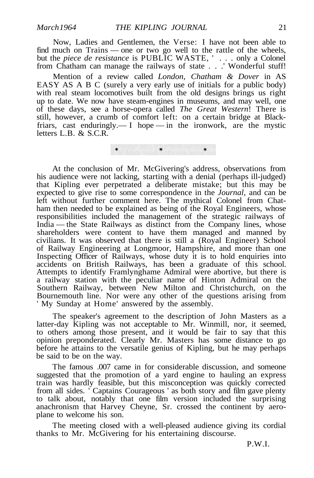Now, Ladies and Gentlemen, the Verse: I have not been able to find much on Trains — one or two go well to the rattle of the wheels, but the *piece de resistance* is PUBLIC WASTE, ' . . . only a Colonel from Chatham can manage the railways of state . . .' Wonderful stuff!

Mention of a review called *London, Chatham & Dover* in AS EASY AS A B C (surely a very early use of initials for a public body) with real steam locomotives built from the old designs brings us right up to date. We now have steam-engines in museums, and may well, one of these days, see a horse-opera called *The Great Western*! There is still, however, a crumb of comfort left: on a certain bridge at Blackfriars, cast enduringly  $\overline{a}$  hope  $\overline{b}$  in the ironwork, are the mystic letters L.B. & S.C.R.

At the conclusion of Mr. McGivering's address, observations from his audience were not lacking, starting with a denial (perhaps ill-judged) that Kipling ever perpetrated a deliberate mistake; but this may be expected to give rise to some correspondence in the *Journal,* and can be left without further comment here. The mythical Colonel from Chatham then needed to be explained as being of the Royal Engineers, whose responsibilities included the management of the strategic railways of India — the State Railways as distinct from the Company lines, whose shareholders were content to have them managed and manned by civilians. It was observed that there is still a (Royal Engineer) School of Railway Engineering at Longmoor, Hampshire, and more than one Inspecting Officer of Railways, whose duty it is to hold enquiries into accidents on British Railways, has been a graduate of this school. Attempts to identify Framlynghame Admiral were abortive, but there is a railway station with the peculiar name of Hinton Admiral on the Southern Railway, between New Milton and Christchurch, on the Bournemouth line. Nor were any other of the questions arising from ' My Sunday at Home' answered by the assembly.

The speaker's agreement to the description of John Masters as a latter-day Kipling was not acceptable to Mr. Winmill, nor, it seemed, to others among those present, and it would be fair to say that this opinion preponderated. Clearly Mr. Masters has some distance to go before he attains to the versatile genius of Kipling, but he may perhaps be said to be on the way.

The famous .007 came in for considerable discussion, and someone suggested that the promotion of a yard engine to hauling an express train was hardly feasible, but this misconception was quickly corrected from all sides. ' Captains Courageous ' as both story and film gave plenty to talk about, notably that one film version included the surprising anachronism that Harvey Cheyne, Sr. crossed the continent by aeroplane to welcome his son.

The meeting closed with a well-pleased audience giving its cordial thanks to Mr. McGivering for his entertaining discourse.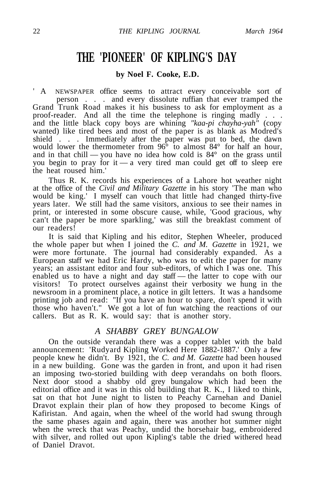### **THE 'PIONEER' OF KIPLING'S DAY**

#### **by Noel F. Cooke, E.D.**

A NEWSPAPER office seems to attract every conceivable sort of person . . . and every dissolute ruffian that ever tramped the Grand Trunk Road makes it his business to ask for employment as a proof-reader. And all the time the telephone is ringing madly . . . and the little black copy boys are whining *"kaa-pi chayha-yah"* (copy wanted) like tired bees and most of the paper is as blank as Modred's shield . . . Immediately after the paper was put to bed, the dawn would lower the thermometer from 96<sup>°</sup> to almost 84<sup>°</sup> for half an hour, and in that chill — you have no idea how cold is 84° on the grass until you begin to pray for it — a very tired man could get off to sleep ere the heat roused him.'

Thus R. K. records his experiences of a Lahore hot weather night at the office of the *Civil and Military Gazette* in his story 'The man who would be king.' I myself can vouch that little had changed thirty-five years later. We still had the same visitors, anxious to see their names in print, or interested in some obscure cause, while, 'Good gracious, why can't the paper be more sparkling,' was still the breakfast comment of our readers!

It is said that Kipling and his editor, Stephen Wheeler, produced the whole paper but when I joined the *C. and M. Gazette* in 1921, we were more fortunate. The journal had considerably expanded. As a European staff we had Eric Hardy, who was to edit the paper for many years; an assistant editor and four sub-editors, of which I was one. This enabled us to have a night and day staff — the latter to cope with our visitors! To protect ourselves against their verbosity we hung in the newsroom in a prominent place, a notice in gilt letters. It was a handsome printing job and read: "If you have an hour to spare, don't spend it with those who haven't." We got a lot of fun watching the reactions of our callers. But as R. K. would say: that is another story.

#### *A SHABBY GREY BUNGALOW*

On the outside verandah there was a copper tablet with the bald announcement: 'Rudyard Kipling Worked Here 1882-1887.' Only a few people knew he didn't. By 1921, the *C. and M. Gazette* had been housed in a new building. Gone was the garden in front, and upon it had risen an imposing two-storied building with deep verandahs on both floors. Next door stood a shabby old grey bungalow which had been the editorial office and it was in this old building that R. K., I liked to think, sat on that hot June night to listen to Peachy Carnehan and Daniel Dravot explain their plan of how they proposed to become Kings of Kafiristan. And again, when the wheel of the world had swung through the same phases again and again, there was another hot summer night when the wreck that was Peachy, undid the horsehair bag, embroidered with silver, and rolled out upon Kipling's table the dried withered head of Daniel Dravot.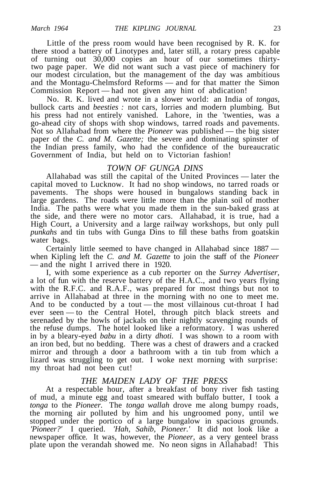Little of the press room would have been recognised by R. K. for there stood a battery of Linotypes and, later still, a rotary press capable of turning out 30,000 copies an hour of our sometimes thirtytwo page paper. We did not want such a vast piece of machinery for our modest circulation, but the management of the day was ambitious and the Montagu-Chelmsford Reforms — and for that matter the Simon Commission Report — had not given any hint of abdication!

No. R. K. lived and wrote in a slower world: an India of *tongas,* bullock carts and *beesties :* not cars, lorries and modern plumbing. But his press had not entirely vanished. Lahore, in the 'twenties, was a go-ahead city of shops with shop windows, tarred roads and pavements. Not so Allahabad from where the *Pioneer* was published — the big sister paper of the *C. and M. Gazette;* the severe and dominating spinster of the Indian press family, who had the confidence of the bureaucratic Government of India, but held on to Victorian fashion!

#### *TOWN OF GUNGA DINS*

Allahabad was still the capital of the United Provinces — later the capital moved to Lucknow. It had no shop windows, no tarred roads or pavements. The shops were housed in bungalows standing back in large gardens. The roads were little more than the plain soil of mother India. The paths were what you made them in the sun-baked grass at the side, and there were no motor cars. Allahabad, it is true, had a High Court, a University and a large railway workshops, but only pull *punkahs* and tin tubs with Gunga Dins to fill these baths from goatskin water bags.

Certainly little seemed to have changed in Allahabad since 1887 when Kipling left the *C. and M. Gazette* to join the staff of the *Pioneer* — and the night I arrived there in 1920.

I, with some experience as a cub reporter on the *Surrey Advertiser,* a lot of fun with the reserve battery of the H.A.C., and two years flying with the R.F.C. and R.A.F., was prepared for most things but not to arrive in Allahabad at three in the morning with no one to meet me. And to be conducted by a tout — the most villainous cut-throat I had ever seen — to the Central Hotel, through pitch black streets and serenaded by the howls of jackals on their nightly scavenging rounds of the refuse dumps. The hotel looked like a reformatory. I was ushered in by a bleary-eyed *babu* in a dirty *dhoti.* I was shown to a room with an iron bed, but no bedding. There was a chest of drawers and a cracked mirror and through a door a bathroom with a tin tub from which a lizard was struggling to get out. I woke next morning with surprise: my throat had not been cut!

#### *THE MAIDEN LADY OF THE PRESS*

At a respectable hour, after a breakfast of bony river fish tasting of mud, a minute egg and toast smeared with buffalo butter, I took a *tonga* to the *Pioneer.* The *tonga wallah* drove me along bumpy roads, the morning air polluted by him and his ungroomed pony, until we stopped under the portico of a large bungalow in spacious grounds. *'Pioneer?'* I queried. *'Hah, Sahib, Pioneer.'* It did not look like a newspaper office. It was, however, the *Pioneer,* as a very genteel brass plate upon the verandah showed me. No neon signs in Allahabad! This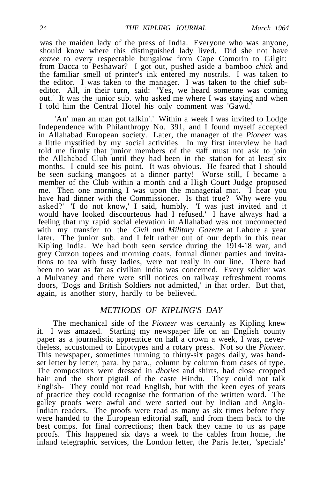was the maiden lady of the press of India. Everyone who was anyone, should know where this distinguished lady lived. Did she not have *entree* to every respectable bungalow from Cape Comorin to Gilgit: from Dacca to Peshawar? I got out, pushed aside a bamboo *chick* and the familiar smell of printer's ink entered my nostrils. I was taken to the editor. I was taken to the manager. I was taken to the chief subeditor. All, in their turn, said: 'Yes, we heard someone was coming out.' It was the junior sub. who asked me where I was staying and when I told him the Central Hotel his only comment was 'Gawd.'

'An' man an man got talkin'.' Within a week I was invited to Lodge Independence with Philanthropy No. 391, and I found myself accepted in Allahabad European society. Later, the manager of the *Pioneer* was a little mystified by my social activities. In my first interview he had told me firmly that junior members of the staff must not ask to join the Allahabad Club until they had been in the station for at least six months. I could see his point. It was obvious. He feared that I should be seen sucking mangoes at a dinner party! Worse still, I became a member of the Club within a month and a High Court Judge proposed me. Then one morning I was upon the managerial mat. 'I hear you have had dinner with the Commissioner. Is that true? Why were you asked?' 'I do not know,' I said, humbly. 'I was just invited and it would have looked discourteous had I refused.' I have always had a feeling that my rapid social elevation in Allahabad was not unconnected with my transfer to the *Civil and Military Gazette* at Lahore a year later. The junior sub. and I felt rather out of our depth in this near Kipling India. We had both seen service during the 1914-18 war, and grey Curzon topees and morning coats, formal dinner parties and invitations to tea with fussy ladies, were not really in our line. There had been no war as far as civilian India was concerned. Every soldier was a Mulvaney and there were still notices on railway refreshment rooms doors, 'Dogs and British Soldiers not admitted,' in that order. But that, again, is another story, hardly to be believed.

#### *METHODS OF KIPLING'S DAY*

The mechanical side of the *Pioneer* was certainly as Kipling knew it. I was amazed. Starting my newspaper life on an English county paper as a journalistic apprentice on half a crown a week, I was, nevertheless, accustomed to Linotypes and a rotary press. Not so the *Pioneer.* This newspaper, sometimes running to thirty-six pages daily, was handset letter by letter, para. by para., column by column from cases of type. The compositors were dressed in *dhoties* and shirts, had close cropped hair and the short pigtail of the caste Hindu. They could not talk English- They could not read English, but with the keen eyes of years of practice they could recognise the formation of the written word. The galley proofs were awful and were sorted out by Indian and Anglo-Indian readers. The proofs were read as many as six times before they were handed to the European editorial staff, and from them back to the best comps. for final corrections; then back they came to us as page proofs. This happened six days a week to the cables from home, the inland telegraphic services, the London letter, the Paris letter, 'specials'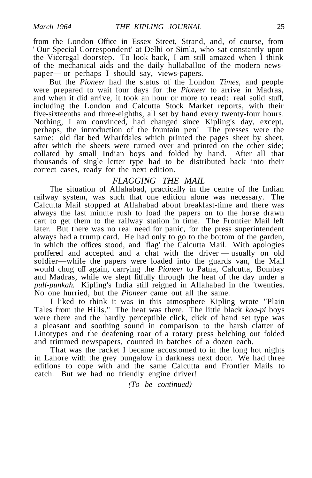from the London Office in Essex Street, Strand, and, of course, from ' Our Special Correspondent' at Delhi or Simla, who sat constantly upon the Viceregal doorstep. To look back, I am still amazed when I think of the mechanical aids and the daily hullaballoo of the modern newspaper— or perhaps I should say, views-papers.

But the *Pioneer* had the status of the London *Times,* and people were prepared to wait four days for the *Pioneer* to arrive in Madras, and when it did arrive, it took an hour or more to read: real solid stuff, including the London and Calcutta Stock Market reports, with their five-sixteenths and three-eighths, all set by hand every twenty-four hours. Nothing, I am convinced, had changed since Kipling's day, except, perhaps, the introduction of the fountain pen! The presses were the same: old flat bed Wharfdales which printed the pages sheet by sheet, after which the sheets were turned over and printed on the other side; collated by small Indian boys and folded by hand. After all that thousands of single letter type had to be distributed back into their correct cases, ready for the next edition.

#### *FLAGGING THE MAIL*

The situation of Allahabad, practically in the centre of the Indian railway system, was such that one edition alone was necessary. The Calcutta Mail stopped at Allahabad about breakfast-time and there was always the last minute rush to load the papers on to the horse drawn cart to get them to the railway station in time. The Frontier Mail left later. But there was no real need for panic, for the press superintendent always had a trump card. He had only to go to the bottom of the garden, in which the offices stood, and 'flag' the Calcutta Mail. With apologies proffered and accepted and a chat with the driver — usually on old soldier—while the papers were loaded into the guards van, the Mail would chug off again, carrying the *Pioneer* to Patna, Calcutta, Bombay and Madras, while we slept fitfully through the heat of the day under a *pull-punkah.* Kipling's India still reigned in Allahabad in the 'twenties. No one hurried, but the *Pioneer* came out all the same.

I liked to think it was in this atmosphere Kipling wrote "Plain Tales from the Hills." The heat was there. The little black *kaa-pi* boys were there and the hardly perceptible click, click of hand set type was a pleasant and soothing sound in comparison to the harsh clatter of Linotypes and the deafening roar of a rotary press belching out folded and trimmed newspapers, counted in batches of a dozen each.

That was the racket I became accustomed to in the long hot nights in Lahore with the grey bungalow in darkness next door. We had three editions to cope with and the same Calcutta and Frontier Mails to catch. But we had no friendly engine driver!

*(To be continued)*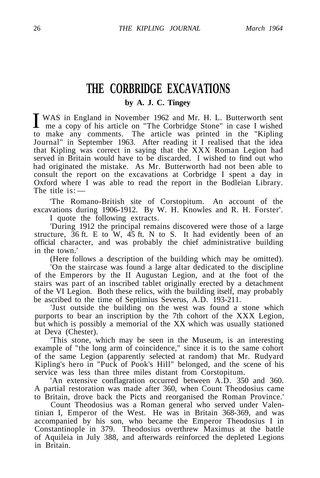### **THE CORBRIDGE EXCAVATIONS**

**by A. J. C. Tingey**

I WAS in England in November 1962 and Mr. H. L. Butterworth sent<br>me a copy of his article on "The Corbridge Stone" in case I wished<br>to make a "Kinling" me a copy of his article on "The Corbridge Stone" in case I wished to make any comments. The article was printed in the "Kipling Journal" in September 1963. After reading it I realised that the idea that Kipling was correct in saying that the XXX Roman Legion had served in Britain would have to be discarded. I wished to find out who had originated the mistake. As Mr. Butterworth had not been able to consult the report on the excavations at Corbridge I spent a day in Oxford where I was able to read the report in the Bodleian Library. The title  $is:-$ 

'The Romano-British site of Corstopitum. An account of the excavations during 1906-1912. By W. H. Knowles and R. H. Forster'.

I quote the following extracts.

'During 1912 the principal remains discovered were those of a large structure,  $36$  ft. E to W,  $45$  ft. N to S. It had evidently been of an official character, and was probably the chief administrative building in the town.'

(Here follows a description of the building which may be omitted).

'On the staircase was found a large altar dedicated to the discipline of the Emperors by the II Augustan Legion, and at the foot of the stairs was part of an inscribed tablet originally erected by a detachment of the VI Legion. Both these relics, with the building itself, may probably be ascribed to the time of Septimius Severus, A.D. 193-211.

'Just outside the building on the west was found a stone which purports to bear an inscription by the 7th cohort of the XXX Legion, but which is possibly a memorial of the XX which was usually stationed at Deva (Chester).

'This stone, which may be seen in the Museum, is an interesting example of "the long arm of coincidence," since it is to the same cohort of the same Legion (apparently selected at random) that Mr. Rudyard Kipling's hero in "Puck of Pook's Hill" belonged, and the scene of his service was less than three miles distant from Corstopitum.

'An extensive conflagration occurred between A.D. 350 and 360. A partial restoration was made after 360, when Count Theodosius came to Britain, drove back the Picts and reorganised the Roman Province.'

Count Theodosius was a Roman general who served under Valentinian I, Emperor of the West. He was in Britain 368-369, and was accompanied by his son, who became the Emperor Theodosius I in Constantinople in 379. Theodosius overthrew Maximus at the battle of Aquileia in July 388, and afterwards reinforced the depleted Legions in Britain.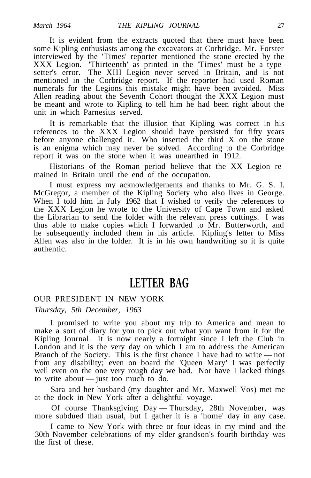It is evident from the extracts quoted that there must have been some Kipling enthusiasts among the excavators at Corbridge. Mr. Forster interviewed by the 'Times' reporter mentioned the stone erected by the XXX Legion. 'Thirteenth' as printed in the 'Times' must be a typesetter's error. The XIII Legion never served in Britain, and is not mentioned in the Corbridge report. If the reporter had used Roman numerals for the Legions this mistake might have been avoided. Miss Allen reading about the Seventh Cohort thought the XXX Legion must be meant and wrote to Kipling to tell him he had been right about the unit in which Parnesius served.

It is remarkable that the illusion that Kipling was correct in his references to the XXX Legion should have persisted for fifty years before anyone challenged it. Who inserted the third X on the stone is an enigma which may never be solved. According to the Corbridge report it was on the stone when it was unearthed in 1912.

Historians of the Roman period believe that the XX Legion remained in Britain until the end of the occupation.

I must express my acknowledgements and thanks to Mr. G. S. I. McGregor, a member of the Kipling Society who also lives in George. When I told him in July 1962 that I wished to verify the references to the XXX Legion he wrote to the University of Cape Town and asked the Librarian to send the folder with the relevant press cuttings. I was thus able to make copies which I forwarded to Mr. Butterworth, and he subsequently included them in his article. Kipling's letter to Miss Allen was also in the folder. It is in his own handwriting so it is quite authentic.

### **LETTER BAG**

#### OUR PRESIDENT IN NEW YORK

#### *Thursday, 5th December, 1963*

I promised to write you about my trip to America and mean to make a sort of diary for you to pick out what you want from it for the Kipling Journal. It is now nearly a fortnight since I left the Club in London and it is the very day on which I am to address the American Branch of the Society. This is the first chance I have had to write — not from any disability; even on board the 'Queen Mary' I was perfectly well even on the one very rough day we had. Nor have I lacked things to write about — just too much to do.

Sara and her husband (my daughter and Mr. Maxwell Vos) met me at the dock in New York after a delightful voyage.

Of course Thanksgiving Day — Thursday, 28th November, was more subdued than usual, but I gather it is a 'home' day in any case.

I came to New York with three or four ideas in my mind and the 30th November celebrations of my elder grandson's fourth birthday was the first of these.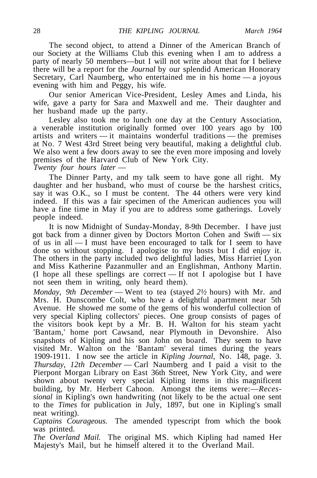The second object, to attend a Dinner of the American Branch of our Society at the Williams Club this evening when I am to address a party of nearly 50 members—but I will not write about that for I believe there will be a report for the *Journal* by our splendid American Honorary Secretary, Carl Naumberg, who entertained me in his home — a joyous evening with him and Peggy, his wife.

Our senior American Vice-President, Lesley Ames and Linda, his wife, gave a party for Sara and Maxwell and me. Their daughter and her husband made up the party.

Lesley also took me to lunch one day at the Century Association, a venerable institution originally formed over 100 years ago by 100 artists and writers — it maintains wonderful traditions — the premises at No. 7 West 43rd Street being very beautiful, making a delightful club. We also went a few doors away to see the even more imposing and lovely premises of the Harvard Club of New York City. *Twenty four hours later* —

The Dinner Party, and my talk seem to have gone all right. My daughter and her husband, who must of course be the harshest critics, say it was O.K., so I must be content. The 44 others were very kind indeed. If this was a fair specimen of the American audiences you will have a fine time in May if you are to address some gatherings. Lovely people indeed.

It is now Midnight of Sunday-Monday, 8-9th December. I have just got back from a dinner given by Doctors Morton Cohen and Swift — six of us in all  $-1$  must have been encouraged to talk for I seem to have done so without stopping. I apologise to my hosts but I did enjoy it. The others in the party included two delightful ladies, Miss Harriet Lyon and Miss Katherine Pazanmuller and an Englishman, Anthony Martin. (I hope all these spellings are correct — If not I apologise but I have not seen them in writing, only heard them).

*Monday, 9th December* — Went to tea (stayed *2½* hours) with Mr. and Mrs. H. Dunscombe Colt, who have a delightful apartment near 5th Avenue. He showed me some of the gems of his wonderful collection of very special Kipling collectors' pieces. One group consists of pages of the visitors book kept by a Mr. B. H. Walton for his steam yacht 'Bantam,' home port Cawsand, near Plymouth in Devonshire. Also snapshots of Kipling and his son John on board. They seem to have visited Mr. Walton on the 'Bantam' several times during the years 1909-1911. I now see the article in *Kipling Journal,* No. 148, page. 3. *Thursday, 12th December* — Carl Naumberg and I paid a visit to the Pierpont Morgan Library on East 36th Street, New York City, and were shown about twenty very special Kipling items in this magnificent building, by Mr. Herbert Cahoon. Amongst the items were:—*Recessional* in Kipling's own handwriting (not likely to be the actual one sent to the *Times* for publication in July, 1897, but one in Kipling's small neat writing).

*Captains Courageous.* The amended typescript from which the book was printed.

*The Overland Mail.* The original MS. which Kipling had named Her Majesty's Mail, but he himself altered it to the Overland Mail.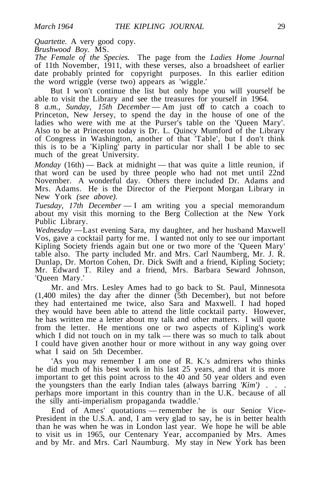*Quartette.* A very good copy.

*Brushwood Boy.* MS.

*The Female of the Species.* The page from the *Ladies Home Journal* of 11th November, 1911, with these verses, also a broadsheet of earlier date probably printed for copyright purposes. In this earlier edition the word wriggle (verse two) appears as 'wiggle.'

But I won't continue the list but only hope you will yourself be able to visit the Library and see the treasures for yourself in 1964.

8 *a.m., Sunday, 15th December* — Am just off to catch a coach to Princeton, New Jersey, to spend the day in the house of one of the ladies who were with me at the Purser's table on the 'Queen Mary'. Also to be at Princeton today is Dr. L. Quincy Mumford of the Library of Congress in Washington, another of that 'Table', but I don't think this is to be a 'Kipling' party in particular nor shall I be able to sec much of the great University.

*Monday* (16th) — Back at midnight — that was quite a little reunion, if that word can be used by three people who had not met until 22nd November. A wonderful day. Others there included Dr. Adams and Mrs. Adams. He is the Director of the Pierpont Morgan Library in New York *(see above).*

*Tuesday, 17th December* — I am writing you a special memorandum about my visit this morning to the Berg Collection at the New York Public Library.

*Wednesday* —Last evening Sara, my daughter, and her husband Maxwell Vos, gave a cocktail party for me. I wanted not only to see our important Kipling Society friends again but one or two more of the 'Queen Mary' table also. The party included Mr. and Mrs. Carl Naumberg, Mr. J. R. Dunlap, Dr. Morton Cohen, Dr. Dick Swift and a friend, Kipling Society; Mr. Edward T. Riley and a friend, Mrs. Barbara Seward Johnson, 'Queen Mary.'

Mr. and Mrs. Lesley Ames had to go back to St. Paul, Minnesota (1,400 miles) the day after the dinner (5th December), but not before they had entertained me twice, also Sara and Maxwell. I had hoped they would have been able to attend the little cocktail party. However, he has written me a letter about my talk and other matters. I will quote from the letter. He mentions one or two aspects of Kipling's work which I did not touch on in my talk — there was so much to talk about I could have given another hour or more without in any way going over what I said on 5th December.

'As you may remember I am one of R. K.'s admirers who thinks he did much of his best work in his last 25 years, and that it is more important to get this point across to the 40 and 50 year olders and even the youngsters than the early Indian tales (always barring *'Kim') . . .* perhaps more important in this country than in the U.K. because of all the silly anti-imperialism propaganda twaddle.'

End of Ames' quotations — remember he is our Senior Vice-President in the U.S.A. and, I am very glad to say, he is in better health than he was when he was in London last year. We hope he will be able to visit us in 1965, our Centenary Year, accompanied by Mrs. Ames and by Mr. and Mrs. Carl Naumburg. My stay in New York has been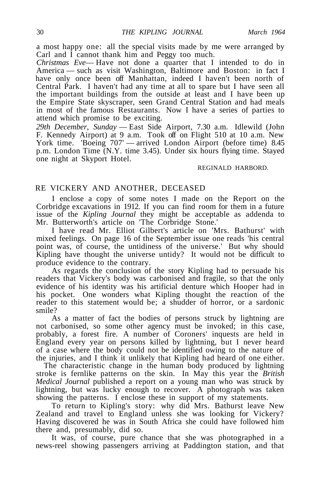a most happy one: all the special visits made by me were arranged by Carl and  $\tilde{I}$  cannot thank him and Peggy too much.

*Christmas Eve*— Have not done a quarter that I intended to do in America — such as visit Washington, Baltimore and Boston: in fact I have only once been off Manhattan, indeed I haven't been north of Central Park. I haven't had any time at all to spare but I have seen all the important buildings from the outside at least and I have been up the Empire State skyscraper, seen Grand Central Station and had meals in most of the famous Restaurants. Now I have a series of parties to attend which promise to be exciting.

*29th December, Sunday* — East Side Airport, 7.30 a.m. Idlewild (John F. Kennedy Airport) at 9 a.m. Took off on Flight 510 at 10 a.m. New York time. 'Boeing 707' — arrived London Airport (before time) 8.45 p.m. London Time (N.Y. time 3.45). Under six hours flying time. Stayed one night at Skyport Hotel.

#### REGINALD HARBORD.

#### RE VICKERY AND ANOTHER, DECEASED

I enclose a copy of some notes I made on the Report on the Corbridge excavations in 1912. If you can find room for them in a future issue of the *Kipling Journal* they might be acceptable as addenda to Mr. Butterworth's article on 'The Corbridge Stone.'

I have read Mr. Elliot Gilbert's article on 'Mrs. Bathurst' with mixed feelings. On page 16 of the September issue one reads 'his central point was, of course, the untidiness of the universe.' But why should Kipling have thought the universe untidy? It would not be difficult to produce evidence to the contrary.

As regards the conclusion of the story Kipling had to persuade his readers that Vickery's body was carbonised and fragile, so that the only evidence of his identity was his artificial denture which Hooper had in his pocket. One wonders what Kipling thought the reaction of the reader to this statement would be; a shudder of horror, or a sardonic smile?

As a matter of fact the bodies of persons struck by lightning are not carbonised, so some other agency must be invoked; in this case, probably, a forest fire. A number of Coroners' inquests are held in England every year on persons killed by lightning, but I never heard of a case where the body could not be identified owing to the nature of the injuries, and I think it unlikely that Kipling had heard of one either.

The characteristic change in the human body produced by lightning stroke is fernlike patterns on the skin. In May this year the *British Medical Journal* published a report on a young man who was struck by lightning, but was lucky enough to recover. A photograph was taken showing the patterns. I enclose these in support of my statements.

To return to Kipling's story: why did Mrs. Bathurst leave New Zealand and travel to England unless she was looking for Vickery? Having discovered he was in South Africa she could have followed him there and, presumably, did so.

It was, of course, pure chance that she was photographed in a news-reel showing passengers arriving at Paddington station, and that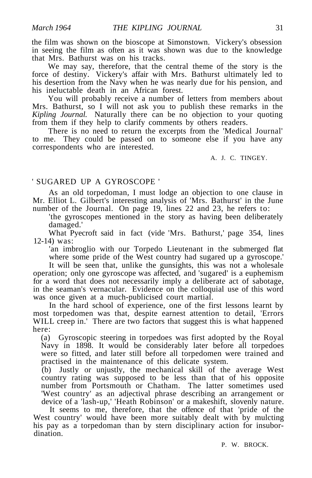the film was shown on the bioscope at Simonstown. Vickery's obsession in seeing the film as often as it was shown was due to the knowledge that Mrs. Bathurst was on his tracks.

We may say, therefore, that the central theme of the story is the force of destiny. Vickery's affair with Mrs. Bathurst ultimately led to his desertion from the Navy when he was nearly due for his pension, and his ineluctable death in an African forest.

You will probably receive a number of letters from members about Mrs. Bathurst, so I will not ask you to publish these remarks in the *Kipling Journal.* Naturally there can be no objection to your quoting from them if they help to clarify comments by others readers.

There is no need to return the excerpts from the 'Medical Journal' to me. They could be passed on to someone else if you have any correspondents who are interested.

A. J. C. TINGEY.

#### ' SUGARED UP A GYROSCOPE '

As an old torpedoman, I must lodge an objection to one clause in Mr. Elliot L. Gilbert's interesting analysis of 'Mrs. Bathurst' in the June number of the Journal. On page 19, lines 22 and 23, he refers to:

'the gyroscopes mentioned in the story as having been deliberately damaged.'

What Pyecroft said in fact (vide 'Mrs. Bathurst,' page 354, lines 12-14) was:

'an imbroglio with our Torpedo Lieutenant in the submerged flat where some pride of the West country had sugared up a gyroscope.'

It will be seen that, unlike the gunsights, this was not a wholesale operation; only one gyroscope was affected, and 'sugared' is a euphemism for a word that does not necessarily imply a deliberate act of sabotage, in the seaman's vernacular. Evidence on the colloquial use of this word was once given at a much-publicised court martial.

In the hard school of experience, one of the first lessons learnt by most torpedomen was that, despite earnest attention to detail, 'Errors WILL creep in.' There are two factors that suggest this is what happened here:

(a) Gyroscopic steering in torpedoes was first adopted by the Royal Navy in 1898. It would be considerably later before all torpedoes were so fitted, and later still before all torpedomen were trained and practised in the maintenance of this delicate system.

(b) Justly or unjustly, the mechanical skill of the average West country rating was supposed to be less than that of his opposite number from Portsmouth or Chatham. The latter sometimes used 'West country' as an adjectival phrase describing an arrangement or device of a 'lash-up,' 'Heath Robinson' or a makeshift, slovenly nature.

It seems to me, therefore, that the offence of that 'pride of the West country' would have been more suitably dealt with by mulcting his pay as a torpedoman than by stern disciplinary action for insubordination.

P. W. BROCK.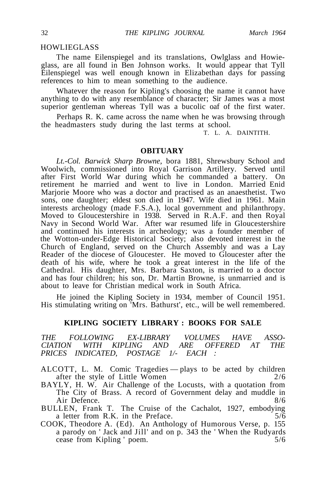#### **HOWLIEGLASS**

The name Eilenspiegel and its translations, Owlglass and Howieglass, are all found in Ben Johnson works. It would appear that Tyll Eilenspiegel was well enough known in Elizabethan days for passing references to him to mean something to the audience.

Whatever the reason for Kipling's choosing the name it cannot have anything to do with any resemblance of character; Sir James was a most superior gentleman whereas Tyll was a bucolic oaf of the first water.

Perhaps R. K. came across the name when he was browsing through the headmasters study during the last terms at school.

T. L. A. DAINTITH.

#### **OBITUARY**

*Lt.-Col. Barwick Sharp Browne,* bora 1881, Shrewsbury School and Woolwich, commissioned into Royal Garrison Artillery. Served until after First World War during which he commanded a battery. On retirement he married and went to live in London. Married Enid Marjorie Moore who was a doctor and practised as an anaesthetist. Two sons, one daughter; eldest son died in 1947. Wife died in 1961. Main interests archeology (made F.S.A.), local government and philanthropy. Moved to Gloucestershire in 1938. Served in R.A.F. and then Royal Navy in Second World War. After war resumed life in Gloucestershire and continued his interests in archeology; was a founder member of the Wotton-under-Edge Historical Society; also devoted interest in the Church of England, served on the Church Assembly and was a Lay Reader of the diocese of Gloucester. He moved to Gloucester after the death of his wife, where he took a great interest in the life of the Cathedral. His daughter, Mrs. Barbara Saxton, is married to a doctor and has four children; his son, Dr. Martin Browne, is unmarried and is about to leave for Christian medical work in South Africa.

He joined the Kipling Society in 1934, member of Council 1951. His stimulating writing on 'Mrs. Bathurst', etc., will be well remembered.

#### **KIPLING SOCIETY LIBRARY : BOOKS FOR SALE**

*THE FOLLOWING EX-LIBRARY VOLUMES HAVE ASSO-CITH KIPLING AND PRICES INDICATED, POSTAGE 1/- EACH :*

ALCOTT, L. M. Comic Tragedies — plays to be acted by children after the style of Little Women 2/6

BAYLY, H. W. Air Challenge of the Locusts, with a quotation from The City of Brass. A record of Government delay and muddle in Air Defence. 8/6

BULLEN, Frank T. The Cruise of the Cachalot, 1927, embodying a letter from R.K. in the Preface.  $5/6$ 

COOK, Theodore A. (Ed). An Anthology of Humorous Verse, p. 155 a parody on ' Jack and Jill' and on p. 343 the ' When the Rudyards cease from Kipling ' poem. 5/6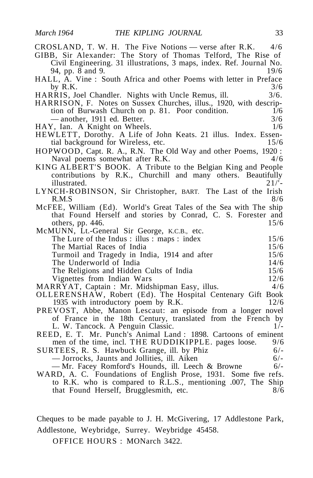| CROSLAND, T. W. H. The Five Notions — verse after R.K. $4/6$         |
|----------------------------------------------------------------------|
| GIBB, Sir Alexander: The Story of Thomas Telford, The Rise of        |
| Civil Engineering. 31 illustrations, 3 maps, index. Ref. Journal No. |
| 94, pp. 8 and 9.<br>19/6                                             |
| HALL, A. Vine : South Africa and other Poems with letter in Preface  |
| 3/6<br>by R.K.                                                       |
| HARRIS, Joel Chandler. Nights with Uncle Remus, ill.<br>3/6.         |
| HARRISON, F. Notes on Sussex Churches, illus., 1920, with descrip-   |
| tion of Burwash Church on p. 81. Poor condition.<br>1/6              |
| -another, 1911 ed. Better.<br>3/6                                    |
| HAY, Ian. A Knight on Wheels.<br>1/6                                 |
| HEWLETT, Dorothy. A Life of John Keats. 21 illus. Index. Essen-      |
| 15/6<br>tial background for Wireless, etc.                           |
| HOPWOOD, Capt. R. A., R.N. The Old Way and other Poems, 1920:        |
| Naval poems somewhat after R.K.<br>4/6                               |
| KING ALBERT'S BOOK. A Tribute to the Belgian King and People         |
| contributions by R.K., Churchill and many others. Beautifully        |
| 21/5<br>illustrated.                                                 |
| LYNCH-ROBINSON, Sir Christopher, BART. The Last of the Irish         |
| 8/6<br>R.M.S                                                         |
| McFEE, William (Ed). World's Great Tales of the Sea with The ship    |
| that Found Herself and stories by Conrad, C. S. Forester and         |
| 15/6<br>others, pp. 446.                                             |
| McMUNN, Lt.-General Sir George, K.C.B., etc.                         |
| 15/6<br>The Lure of the Indus: illus: maps: index                    |
| The Martial Races of India<br>15/6                                   |
| Turmoil and Tragedy in India, 1914 and after<br>15/6                 |
| The Underworld of India<br>14/6                                      |
| The Religions and Hidden Cults of India<br>15/6                      |
| Vignettes from Indian Wars<br>12/6                                   |
| MARRYAT, Captain: Mr. Midshipman Easy, illus.<br>4/6                 |
| OLLERENSHAW, Robert (Ed). The Hospital Centenary Gift Book           |
| 12/6<br>1935 with introductory poem by R.K.                          |
| PREVOST, Abbe, Manon Lescaut: an episode from a longer novel         |
| of France in the 18th Century, translated from the French by         |
| L. W. Tancock. A Penguin Classic.<br>$1/-$                           |
| REED, E. T. Mr. Punch's Animal Land: 1898. Cartoons of eminent       |
| men of the time, incl. THE RUDDIKIPPLE. pages loose.<br>9/6          |
| SURTEES, R. S. Hawbuck Grange, ill. by Phiz<br>$6/-$                 |
| - Jorrocks, Jaunts and Jollities, ill. Aiken<br>$6/-$                |
| -Mr. Facey Romford's Hounds, ill. Leech & Browne<br>$6/-$            |
| WARD, A. C. Foundations of English Prose, 1931. Some five refs.      |
| to R.K. who is compared to R.L.S., mentioning .007, The Ship         |
| that Found Herself, Brugglesmith, etc.<br>8/6                        |
|                                                                      |
|                                                                      |

Cheques to be made payable to J. H. McGivering, 17 Addlestone Park, Addlestone, Weybridge, Surrey. Weybridge 45458.

OFFICE HOURS : MONarch 3422.